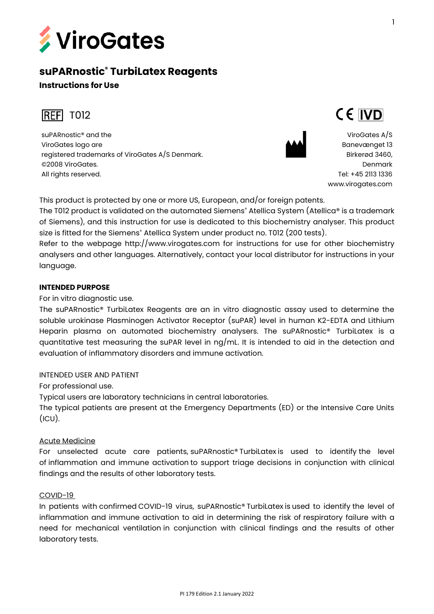

# **suPARnostic® TurbiLatex Reagents**

## **Instructions for Use**



suPARnostic® and the ViroGates logo are registered trademarks of ViroGates A/S Denmark. ©2008 ViroGates. All rights reserved.



ViroGates A/S Banevænget 13 Birkerød 3460, Denmark Tel: +45 2113 1336 [www.virogates.com](http://www.virogates.com/)

CE IVD

This product is protected by one or more US, European, and/or foreign patents.

The T012 product is validated on the automated Siemens<sup>®</sup> Atellica System (Atellica® is a trademark of Siemens), and this instruction for use is dedicated to this biochemistry analyser. This product size is fitted for the Siemens<sup>®</sup> Atellica System under product no. T012 (200 tests).

Refer to the webpage http://www.virogates.com for instructions for use for other biochemistry analysers and other languages. Alternatively, contact your local distributor for instructions in your language.

## **INTENDED PURPOSE**

For in vitro diagnostic use.

The suPARnostic® TurbiLatex Reagents are an in vitro diagnostic assay used to determine the soluble urokinase Plasminogen Activator Receptor (suPAR) level in human K2-EDTA and Lithium Heparin plasma on automated biochemistry analysers. The suPARnostic® TurbiLatex is a quantitative test measuring the suPAR level in ng/mL. It is intended to aid in the detection and evaluation of inflammatory disorders and immune activation.

## INTENDED USER AND PATIENT

For professional use.

Typical users are laboratory technicians in central laboratories.

The typical patients are present at the Emergency Departments (ED) or the Intensive Care Units  $(ICU).$ 

## Acute Medicine

For unselected acute care patients, suPARnostic® TurbiLatex is used to identify the level of inflammation and immune activation to support triage decisions in conjunction with clinical findings and the results of other laboratory tests.

## COVID-19

In patients with confirmed COVID-19 virus, suPARnostic® TurbiLatex is used to identify the level of inflammation and immune activation to aid in determining the risk of respiratory failure with a need for mechanical ventilation in conjunction with clinical findings and the results of other laboratory tests.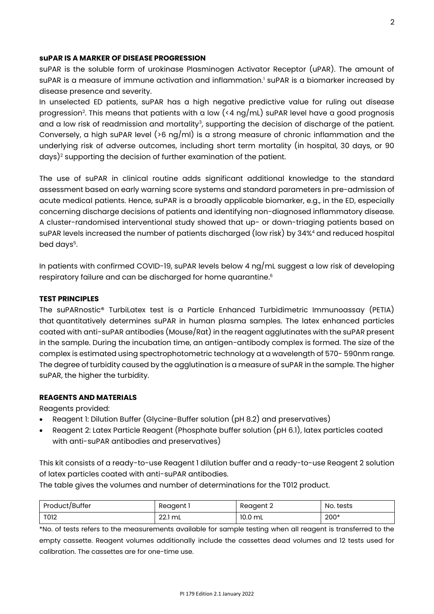## **suPAR IS A MARKER OF DISEASE PROGRESSION**

suPAR is the soluble form of urokinase Plasminogen Activator Receptor (uPAR). The amount of suPAR is a measure of immune activation and inflammation.<sup>1</sup> suPAR is a biomarker increased by disease presence and severity.

In unselected ED patients, suPAR has a high negative predictive value for ruling out disease progression<sup>2</sup>. This means that patients with a low (<4  $\log/\text{mL}$ ) suPAR level have a good prognosis and a low risk of readmission and mortality<sup>3</sup>, supporting the decision of discharge of the patient. Conversely, a high suPAR level ( $>6$  ng/ml) is a strong measure of chronic inflammation and the underlying risk of adverse outcomes, including short term mortality (in hospital, 30 days, or 90 days)<sup>2</sup> supporting the decision of further examination of the patient.

The use of suPAR in clinical routine adds significant additional knowledge to the standard assessment based on early warning score systems and standard parameters in pre-admission of acute medical patients. Hence, suPAR is a broadly applicable biomarker, e.g., in the ED, especially concerning discharge decisions of patients and identifying non-diagnosed inflammatory disease. A cluster-randomised interventional study showed that up- or down-triaging patients based on suPAR levels increased the number of patients discharged (low risk) by 34%<sup>4</sup> and reduced hospital bed days<sup>5</sup>.

In patients with confirmed COVID-19, suPAR levels below 4 ng/mL suggest a low risk of developing respiratory failure and can be discharged for home quarantine. 6

#### **TEST PRINCIPLES**

The suPARnostic® TurbiLatex test is a Particle Enhanced Turbidimetric Immunoassay (PETIA) that quantitatively determines suPAR in human plasma samples. The latex enhanced particles coated with anti-suPAR antibodies (Mouse/Rat) in the reagent agglutinates with the suPAR present in the sample. During the incubation time, an antigen-antibody complex is formed. The size of the complex is estimated using spectrophotometric technology at a wavelength of 570- 590nm range. The degree of turbidity caused by the agglutination is a measure of suPAR in the sample. The higher suPAR, the higher the turbidity.

## **REAGENTS AND MATERIALS**

Reagents provided:

- Reagent 1: Dilution Buffer (Glycine-Buffer solution (pH 8.2) and preservatives)
- Reagent 2: Latex Particle Reagent (Phosphate buffer solution (pH 6.1), latex particles coated with anti-suPAR antibodies and preservatives)

This kit consists of a ready-to-use Reagent 1 dilution buffer and a ready-to-use Reagent 2 solution of latex particles coated with anti-suPAR antibodies.

The table gives the volumes and number of determinations for the T012 product.

| Product/Buffer | Reagent 1 | Reagent 2 | No. tests |
|----------------|-----------|-----------|-----------|
| T012           | 22.1 mL   | 10.0 mL   | $200*$    |

\*No. of tests refers to the measurements available for sample testing when all reagent is transferred to the empty cassette. Reagent volumes additionally include the cassettes dead volumes and 12 tests used for calibration. The cassettes are for one-time use.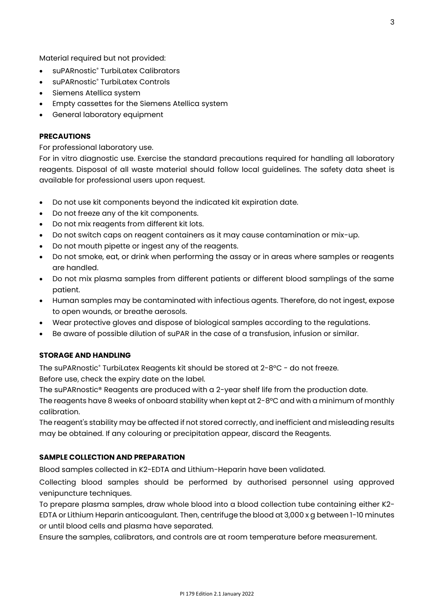Material required but not provided:

- suPARnostic<sup>®</sup> TurbiLatex Calibrators
- suPARnostic® TurbiLatex Controls
- Siemens Atellica system
- Empty cassettes for the Siemens Atellica system
- General laboratory equipment

#### **PRECAUTIONS**

For professional laboratory use.

For in vitro diagnostic use. Exercise the standard precautions required for handling all laboratory reagents. Disposal of all waste material should follow local guidelines. The safety data sheet is available for professional users upon request.

- Do not use kit components beyond the indicated kit expiration date.
- Do not freeze any of the kit components.
- Do not mix reagents from different kit lots.
- Do not switch caps on reagent containers as it may cause contamination or mix-up.
- Do not mouth pipette or ingest any of the reagents.
- Do not smoke, eat, or drink when performing the assay or in areas where samples or reagents are handled.
- Do not mix plasma samples from different patients or different blood samplings of the same patient.
- Human samples may be contaminated with infectious agents. Therefore, do not ingest, expose to open wounds, or breathe aerosols.
- Wear protective gloves and dispose of biological samples according to the regulations.
- Be aware of possible dilution of suPAR in the case of a transfusion, infusion or similar.

#### **STORAGE AND HANDLING**

The suPARnostic® TurbiLatex Reagents kit should be stored at 2-8°C - do not freeze. Before use, check the expiry date on the label.

The suPARnostic® Reagents are produced with a 2-year shelf life from the production date.

The reagents have 8 weeks of onboard stability when kept at 2-8°C and with a minimum of monthly calibration.

The reagent's stability may be affected if not stored correctly, and inefficient and misleading results may be obtained. If any colouring or precipitation appear, discard the Reagents.

#### **SAMPLE COLLECTION AND PREPARATION**

Blood samples collected in K2-EDTA and Lithium-Heparin have been validated.

Collecting blood samples should be performed by authorised personnel using approved venipuncture techniques.

To prepare plasma samples, draw whole blood into a blood collection tube containing either K2- EDTA or Lithium Heparin anticoagulant. Then, centrifuge the blood at 3,000 x g between 1-10 minutes or until blood cells and plasma have separated.

Ensure the samples, calibrators, and controls are at room temperature before measurement.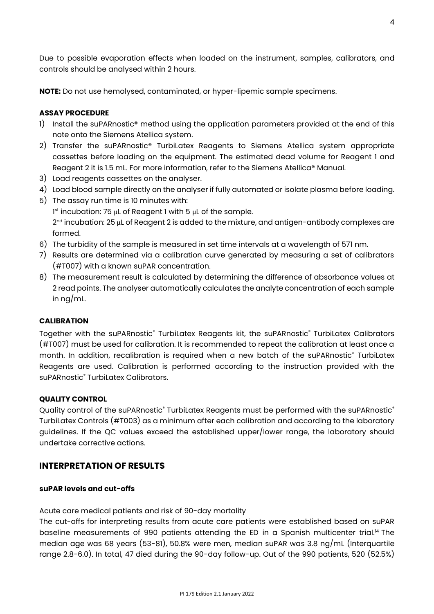Due to possible evaporation effects when loaded on the instrument, samples, calibrators, and controls should be analysed within 2 hours.

**NOTE:** Do not use hemolysed, contaminated, or hyper-lipemic sample specimens.

## **ASSAY PROCEDURE**

- 1) Install the suPARnostic<sup>®</sup> method using the application parameters provided at the end of this note onto the Siemens Atellica system.
- 2) Transfer the suPARnostic® TurbiLatex Reagents to Siemens Atellica system appropriate cassettes before loading on the equipment. The estimated dead volume for Reagent 1 and Reagent 2 it is 1.5 mL. For more information, refer to the Siemens Atellica® Manual.
- 3) Load reagents cassettes on the analyser.
- 4) Load blood sample directly on the analyser if fully automated or isolate plasma before loading.
- 5) The assay run time is 10 minutes with:

1 st incubation: 75 μL of Reagent 1 with 5 μL of the sample. 2<sup>nd</sup> incubation: 25  $\mu$ L of Reagent 2 is added to the mixture, and antigen-antibody complexes are formed.

- 6) The turbidity of the sample is measured in set time intervals at a wavelength of 571 nm.
- 7) Results are determined via a calibration curve generated by measuring a set of calibrators (#T007) with a known suPAR concentration.
- 8) The measurement result is calculated by determining the difference of absorbance values at 2 read points. The analyser automatically calculates the analyte concentration of each sample in ng/mL.

#### **CALIBRATION**

Together with the suPARnostic® TurbiLatex Reagents kit, the suPARnostic® TurbiLatex Calibrators (#T007) must be used for calibration. It is recommended to repeat the calibration at least once a month. In addition, recalibration is required when a new batch of the suPARnostic® TurbiLatex Reagents are used. Calibration is performed according to the instruction provided with the suPARnostic<sup>®</sup> TurbiLatex Calibrators.

#### **QUALITY CONTROL**

Quality control of the suPARnostic® TurbiLatex Reagents must be performed with the suPARnostic® TurbiLatex Controls (#T003) as a minimum after each calibration and according to the laboratory guidelines. If the QC values exceed the established upper/lower range, the laboratory should undertake corrective actions.

## **INTERPRETATION OF RESULTS**

#### **suPAR levels and cut-offs**

#### Acute care medical patients and risk of 90-day mortality

The cut-offs for interpreting results from acute care patients were established based on suPAR baseline measurements of 990 patients attending the ED in a Spanish multicenter trial.<sup>14</sup> The median age was 68 years (53-81), 50.8% were men, median suPAR was 3.8 ng/mL (Interquartile range 2.8-6.0). In total, 47 died during the 90-day follow-up. Out of the 990 patients, 520 (52.5%)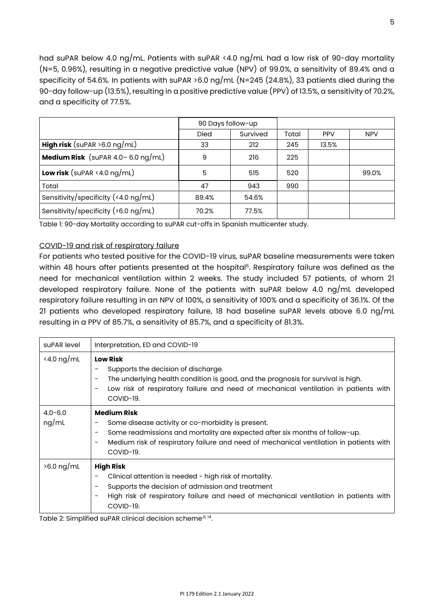had suPAR below 4.0 ng/mL. Patients with suPAR <4.0 ng/mL had a low risk of 90-day mortality (N=5, 0.96%), resulting in a negative predictive value (NPV) of 99.0%, a sensitivity of 89.4% and a specificity of 54.6%. In patients with suPAR >6.0 ng/mL (N=245 (24.8%), 33 patients died during the 90-day follow-up (13.5%), resulting in a positive predictive value (PPV) of 13.5%, a sensitivity of 70.2%, and a specificity of 77.5%.

|                                                | 90 Days follow-up |          |       |            |            |
|------------------------------------------------|-------------------|----------|-------|------------|------------|
|                                                | <b>Died</b>       | Survived | Total | <b>PPV</b> | <b>NPV</b> |
| <b>High risk</b> (suPAR $>6.0$ ng/mL)          | 33                | 212      | 245   | 13.5%      |            |
| <b>Medium Risk</b> (suPAR $4.0 - 6.0$ ng/mL)   | 9                 | 216      | 225   |            |            |
| <b>Low risk</b> (suPAR <4.0 $\log/\text{mL}$ ) | 5                 | 515      | 520   |            | 99.0%      |
| Total                                          | 47                | 943      | 990   |            |            |
| Sensitivity/specificity (<4.0 $\log$ /mL)      | 89.4%             | 54.6%    |       |            |            |
| Sensitivity/specificity (>6.0 ng/mL)           | 70.2%             | 77.5%    |       |            |            |

Table 1: 90-day Mortality according to suPAR cut-offs in Spanish multicenter study.

## COVID-19 and risk of respiratory failure

For patients who tested positive for the COVID-19 virus, suPAR baseline measurements were taken within 48 hours after patients presented at the hospital<sup>6</sup>. Respiratory failure was defined as the need for mechanical ventilation within 2 weeks. The study included 57 patients, of whom 21 developed respiratory failure. None of the patients with suPAR below 4.0 ng/mL developed respiratory failure resulting in an NPV of 100%, a sensitivity of 100% and a specificity of 36.1%. Of the 21 patients who developed respiratory failure, 18 had baseline suPAR levels above 6.0 ng/mL resulting in a PPV of 85.7%, a sensitivity of 85.7%, and a specificity of 81.3%.

| suPAR level          | Interpretation, ED and COVID-19                                                                                                                                                                                                                                              |
|----------------------|------------------------------------------------------------------------------------------------------------------------------------------------------------------------------------------------------------------------------------------------------------------------------|
| $\le$ 4.0 ng/mL      | <b>Low Risk</b><br>Supports the decision of discharge.<br>The underlying health condition is good, and the prognosis for survival is high.<br>-<br>Low risk of respiratory failure and need of mechanical ventilation in patients with<br>COVID-19.                          |
| $4.0 - 6.0$<br>ng/mL | <b>Medium Risk</b><br>Some disease activity or co-morbidity is present.<br>-<br>Some readmissions and mortality are expected after six months of follow-up.<br>-<br>Medium risk of respiratory failure and need of mechanical ventilation in patients with<br>-<br>COVID-19. |
| $>6.0$ ng/mL         | <b>High Risk</b><br>Clinical attention is needed - high risk of mortality.<br>Supports the decision of admission and treatment<br>-<br>High risk of respiratory failure and need of mechanical ventilation in patients with<br>COVID-19.                                     |

Table 2: Simplified suPAR clinical decision scheme<sup>,6, 14</sup>.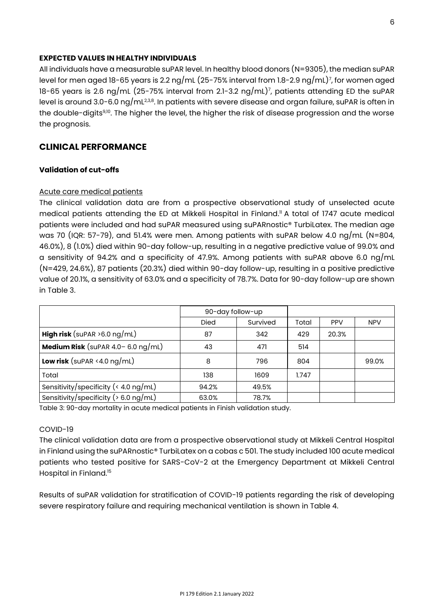#### **EXPECTED VALUES IN HEALTHY INDIVIDUALS**

All individuals have a measurable suPAR level. In healthy blood donors (N=9305), the median suPAR level for men aged 18-65 years is 2.2 ng/mL (25-75% interval from 1.8-2.9 ng/mL)<sup>7</sup> , for women aged 18-65 years is 2.6 ng/mL (25-75% interval from 2.1-3.2 ng/mL)<sup>7</sup> , patients attending ED the suPAR level is around 3.0-6.0 ng/mL $^{2,3,8}$ . In patients with severe disease and organ failure, suPAR is often in the double-digits<sup>9,10</sup>. The higher the level, the higher the risk of disease progression and the worse the prognosis.

## **CLINICAL PERFORMANCE**

## **Validation of cut-offs**

## Acute care medical patients

The clinical validation data are from a prospective observational study of unselected acute medical patients attending the ED at Mikkeli Hospital in Finland. <sup>11</sup> A total of 1747 acute medical patients were included and had suPAR measured using suPARnostic® TurbiLatex. The median age was 70 (IQR: 57-79), and 51.4% were men. Among patients with suPAR below 4.0 ng/mL (N=804, 46.0%), 8 (1.0%) died within 90-day follow-up, resulting in a negative predictive value of 99.0% and a sensitivity of 94.2% and a specificity of 47.9%. Among patients with suPAR above 6.0 ng/mL (N=429, 24.6%), 87 patients (20.3%) died within 90-day follow-up, resulting in a positive predictive value of 20.1%, a sensitivity of 63.0% and a specificity of 78.7%. Data for 90-day follow-up are shown in Table 3.

|                                                | 90-day follow-up |          |       |            |            |
|------------------------------------------------|------------------|----------|-------|------------|------------|
|                                                | <b>Died</b>      | Survived | Total | <b>PPV</b> | <b>NPV</b> |
| <b>High risk</b> (suPAR $>6.0$ ng/mL)          | 87               | 342      | 429   | 20.3%      |            |
| <b>Medium Risk</b> (suPAR $4.0 - 6.0$ ng/mL)   | 43               | 471      | 514   |            |            |
| <b>Low risk</b> (suPAR <4.0 $\log/\text{mL}$ ) | 8                | 796      | 804   |            | 99.0%      |
| Total                                          | 138              | 1609     | 1.747 |            |            |
| Sensitivity/specificity ( $\leq 4.0$ ng/mL)    | 94.2%            | 49.5%    |       |            |            |
| Sensitivity/specificity ( $> 6.0$ ng/mL)       | 63.0%            | 78.7%    |       |            |            |

Table 3: 90-day mortality in acute medical patients in Finish validation study.

#### COVID-19

The clinical validation data are from a prospective observational study at Mikkeli Central Hospital in Finland using the suPARnostic® TurbiLatex on a cobas c 501. The study included 100 acute medical patients who tested positive for SARS-CoV-2 at the Emergency Department at Mikkeli Central Hospital in Finland.<sup>15</sup>

Results of suPAR validation for stratification of COVID-19 patients regarding the risk of developing severe respiratory failure and requiring mechanical ventilation is shown in Table 4.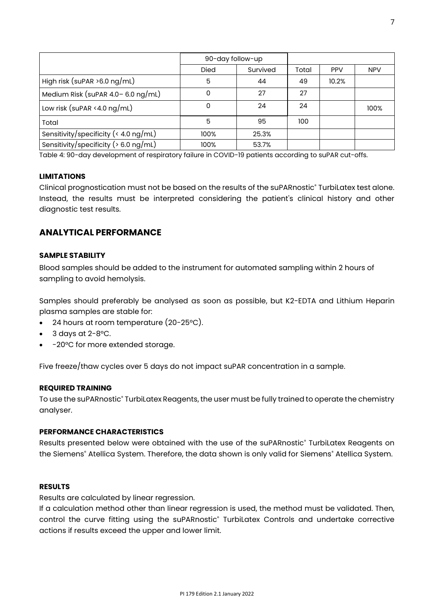|                                          | 90-day follow-up |          |       |            |            |
|------------------------------------------|------------------|----------|-------|------------|------------|
|                                          | <b>Died</b>      | Survived | Total | <b>PPV</b> | <b>NPV</b> |
| High risk (suPAR $>6.0$ ng/mL)           | 5                | 44       | 49    | 10.2%      |            |
| Medium Risk (suPAR $4.0 - 6.0$ ng/mL)    | 0                | 27       | 27    |            |            |
| Low risk (suPAR <4.0 $\log/mL$ )         | 0                | 24       | 24    |            | 100%       |
| Total                                    | 5                | 95       | 100   |            |            |
| Sensitivity/specificity (< 4.0 ng/mL)    | 100%             | 25.3%    |       |            |            |
| Sensitivity/specificity ( $> 6.0$ ng/mL) | 100%             | 53.7%    |       |            |            |

Table 4: 90-day development of respiratory failure in COVID-19 patients according to suPAR cut-offs.

## **LIMITATIONS**

Clinical prognostication must not be based on the results of the suPARnostic® TurbiLatex test alone. Instead, the results must be interpreted considering the patient's clinical history and other diagnostic test results.

## **ANALYTICAL PERFORMANCE**

#### **SAMPLE STABILITY**

Blood samples should be added to the instrument for automated sampling within 2 hours of sampling to avoid hemolysis.

Samples should preferably be analysed as soon as possible, but K2-EDTA and Lithium Heparin plasma samples are stable for:

- 24 hours at room temperature (20-25°C).
- $3$  days at  $2-8$ °C.
- -20°C for more extended storage.

Five freeze/thaw cycles over 5 days do not impact suPAR concentration in a sample.

#### **REQUIRED TRAINING**

To use the suPARnostic® TurbiLatex Reagents, the user must be fully trained to operate the chemistry analyser.

#### **PERFORMANCE CHARACTERISTICS**

Results presented below were obtained with the use of the suPARnostic® TurbiLatex Reagents on the Siemens<sup>®</sup> Atellica System. Therefore, the data shown is only valid for Siemens® Atellica System.

#### **RESULTS**

Results are calculated by linear regression.

If a calculation method other than linear regression is used, the method must be validated. Then, control the curve fitting using the suPARnostic<sup>®</sup> TurbiLatex Controls and undertake corrective actions if results exceed the upper and lower limit.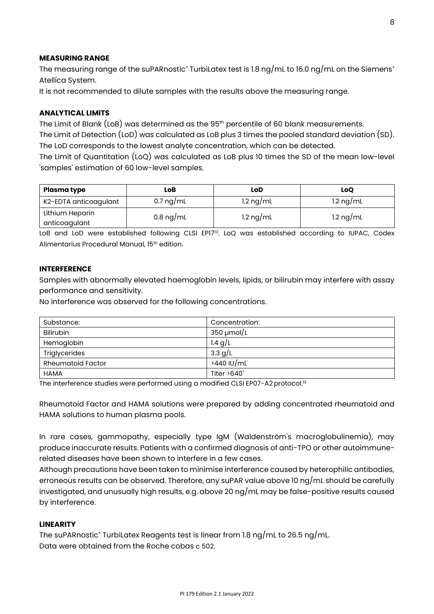#### **MEASURING RANGE**

The measuring range of the suPARnostic® TurbiLatex test is 1.8 ng/mL to 16.0 ng/mL on the Siemens® Atellica System.

It is not recommended to dilute samples with the results above the measuring range.

#### **ANALYTICAL LIMITS**

The Limit of Blank (LoB) was determined as the 95<sup>th</sup> percentile of 60 blank measurements.

The Limit of Detection (LoD) was calculated as LoB plus 3 times the pooled standard deviation (SD). The LoD corresponds to the lowest analyte concentration, which can be detected.

The Limit of Quantitation (LoQ) was calculated as LoB plus 10 times the SD of the mean low-level 'samples' estimation of 60 low-level samples.

| Plasma type                      | LoB                 | LoD                 | LoO                 |
|----------------------------------|---------------------|---------------------|---------------------|
| K2-EDTA anticoagulant            | 0.7 ng/mL           | $1.2 \text{ ng/mL}$ | $1.2 \text{ ng/mL}$ |
| Lithium Heparin<br>anticoagulant | $0.8 \text{ ng/mL}$ | $1.2 \text{ ng/mL}$ | 1.2 ng/mL           |
|                                  |                     |                     |                     |

LoB and LoD were established following CLSI EP17<sup>13</sup>. LoQ was established according to IUPAC, Codex Alimentarius Procedural Manual, 15th edition.

#### **INTERFERENCE**

Samples with abnormally elevated haemoglobin levels, lipids, or bilirubin may interfere with assay performance and sensitivity.

No interference was observed for the following concentrations.

| Substance:               | Concentration:     |
|--------------------------|--------------------|
| <b>Bilirubin</b>         | $350 \mu$ mol/L    |
| Hemoglobin               | 1.4 $g/L$          |
| Triglycerides            | 3.3 g/L            |
| <b>Rheumatoid Factor</b> | >440 IU/mL         |
| <b>HAMA</b>              | Titer $>640^\circ$ |

The interference studies were performed using a modified CLSI EP07-A2 protocol.<sup>13</sup>

Rheumatoid Factor and HAMA solutions were prepared by adding concentrated rheumatoid and HAMA solutions to human plasma pools.

In rare cases, gammopathy, especially type IgM (Waldenström's macroglobulinemia), may produce inaccurate results. Patients with a confirmed diagnosis of anti-TPO or other autoimmunerelated diseases have been shown to interfere in a few cases.

Although precautions have been taken to minimise interference caused by heterophilic antibodies, erroneous results can be observed. Therefore, any suPAR value above 10 ng/mL should be carefully investigated, and unusually high results, e.g. above 20 ng/mL may be false-positive results caused by interference.

#### **LINEARITY**

The suPARnostic® TurbiLatex Reagents test is linear from 1.8 ng/mL to 26.5 ng/mL. Data were obtained from the Roche cobas c 502.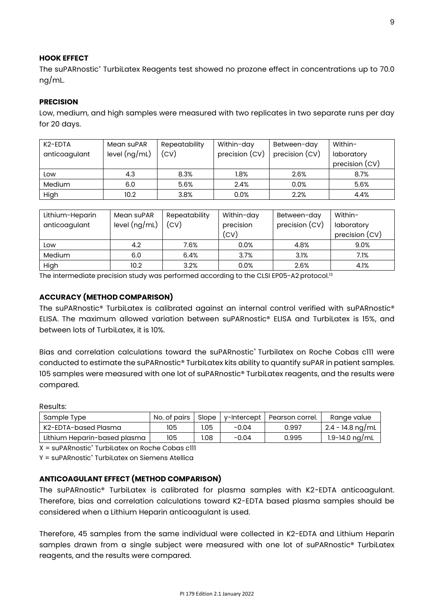#### **HOOK EFFECT**

The suPARnostic® TurbiLatex Reagents test showed no prozone effect in concentrations up to 70.0 ng/mL.

## **PRECISION**

Low, medium, and high samples were measured with two replicates in two separate runs per day for 20 days.

| K <sub>2</sub> -EDTA<br>anticoagulant | Mean suPAR<br>level $(ng/mL)$ | Repeatability<br>(CV) | Within-day<br>precision (CV) | Between-day<br>precision (CV) | Within-<br>laboratory<br>precision (CV) |
|---------------------------------------|-------------------------------|-----------------------|------------------------------|-------------------------------|-----------------------------------------|
| Low                                   | 4.3                           | 8.3%                  | $1.8\%$                      | 2.6%                          | 8.7%                                    |
| Medium                                | 6.0                           | 5.6%                  | 2.4%                         | 0.0%                          | 5.6%                                    |
| High                                  | 10.2                          | 3.8%                  | 0.0%                         | 2.2%                          | 4.4%                                    |

| Lithium-Heparin<br>anticoagulant | Mean suPAR<br>level $(ng/mL)$ | Repeatability<br>(CV) | Within-day<br>precision | Between-day<br>precision (CV) | Within-<br>laboratory |
|----------------------------------|-------------------------------|-----------------------|-------------------------|-------------------------------|-----------------------|
|                                  |                               |                       | (CV)                    |                               | precision (CV)        |
| Low                              | 4.2                           | 7.6%                  | 0.0%                    | 4.8%                          | 9.0%                  |
| <b>Medium</b>                    | 6.0                           | 6.4%                  | 3.7%                    | 3.1%                          | 7.1%                  |
| High                             | 10.2                          | 3.2%                  | 0.0%                    | 2.6%                          | 4.1%                  |

The intermediate precision study was performed according to the CLSI EP05-A2 protocol.<sup>13</sup>

## **ACCURACY (METHOD COMPARISON)**

The suPARnostic® TurbiLatex is calibrated against an internal control verified with suPARnostic® ELISA. The maximum allowed variation between suPARnostic® ELISA and TurbiLatex is 15%, and between lots of TurbiLatex, it is 10%.

Bias and correlation calculations toward the suPARnostic<sup>®</sup> Turbilatex on Roche Cobas c111 were conducted to estimate the suPARnostic® TurbiLatex kits ability to quantify suPAR in patient samples. 105 samples were measured with one lot of suPARnostic® TurbiLatex reagents, and the results were compared.

#### Results:

| Sample Type                  | No. of pairs | Slope |         | v-Intercept   Pearson correl. | Range value        |
|------------------------------|--------------|-------|---------|-------------------------------|--------------------|
| K2-EDTA-based Plasma         | 105          | 1.05  | $-0.04$ | 0.997                         | 2.4 - 14.8 ng/mL   |
| Lithium Heparin-based plasma | 105          | .08   | $-0.04$ | 0.995                         | $1.9 - 14.0$ ng/mL |

X = suPARnostic® TurbiLatex on Roche Cobas c111

Y = suPARnostic® TurbiLatex on Siemens Atellica

## **ANTICOAGULANT EFFECT (METHOD COMPARISON)**

The suPARnostic® TurbiLatex is calibrated for plasma samples with K2-EDTA anticoagulant. Therefore, bias and correlation calculations toward K2-EDTA based plasma samples should be considered when a Lithium Heparin anticoagulant is used.

Therefore, 45 samples from the same individual were collected in K2-EDTA and Lithium Heparin samples drawn from a single subject were measured with one lot of suPARnostic® TurbiLatex reagents, and the results were compared.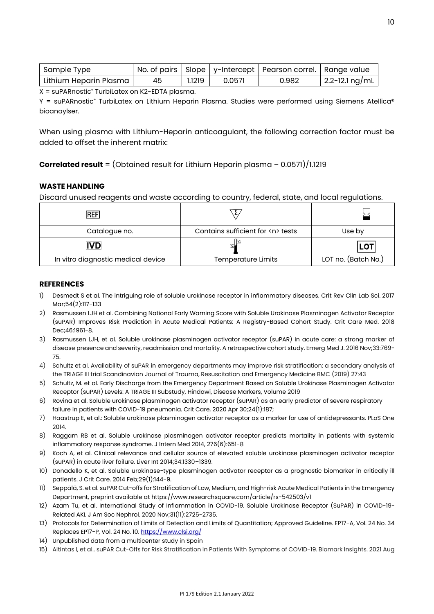| Sample Type            |    |        |        | No. of pairs   Slope   y-Intercept   Pearson correl.   Range value |                |
|------------------------|----|--------|--------|--------------------------------------------------------------------|----------------|
| Lithium Heparin Plasma | 45 | 1.1219 | 0.0571 | 0.982                                                              | 2.2-12.1 ng/mL |

X = suPARnostic® TurbiLatex on K2-EDTA plasma.

Y = suPARnostic® TurbiLatex on Lithium Heparin Plasma. Studies were performed using Siemens Atellica® bioanaylser.

When using plasma with Lithium-Heparin anticoagulant, the following correction factor must be added to offset the inherent matrix:

**Correlated result** = (Obtained result for Lithium Heparin plasma – 0.0571)/1.1219

## **WASTE HANDLING**

Discard unused reagents and waste according to country, federal, state, and local regulations.

| IREFI                              |                                       |                     |
|------------------------------------|---------------------------------------|---------------------|
| Catalogue no.                      | Contains sufficient for <n> tests</n> | Use by              |
| <b>IVD</b>                         |                                       | <b>LOT</b>          |
| In vitro diagnostic medical device | Temperature Limits                    | LOT no. (Batch No.) |

#### **REFERENCES**

- 1) Desmedt S et al. The intriguing role of soluble urokinase receptor in inflammatory diseases. Crit Rev Clin Lab Sci. 2017 Mar;54(2):117-133
- 2) Rasmussen LJH et al. Combining National Early Warning Score with Soluble Urokinase Plasminogen Activator Receptor (suPAR) Improves Risk Prediction in Acute Medical Patients: A Registry-Based Cohort Study. Crit Care Med. 2018 Dec;46:1961-8.
- 3) Rasmussen LJH, et al. Soluble urokinase plasminogen activator receptor (suPAR) in acute care: a strong marker of disease presence and severity, readmission and mortality. A retrospective cohort study. Emerg Med J. 2016 Nov;33:769- 75.
- 4) Schultz et al. Availability of suPAR in emergency departments may improve risk stratification: a secondary analysis of the TRIAGE III trial Scandinavian Journal of Trauma, Resuscitation and Emergency Medicine BMC (2019) 27:43
- 5) Schultz, M. et al. Early Discharge from the Emergency Department Based on Soluble Urokinase Plasminogen Activator Receptor (suPAR) Levels: A TRIAGE III Substudy, Hindawi, Disease Markers, Volume 2019
- 6) Rovina et al. Soluble urokinase plasminogen activator receptor (suPAR) as an early predictor of severe respiratory failure in patients with COVID-19 pneumonia. Crit Care, 2020 Apr 30;24(1):187;
- 7) Haastrup E, et al.: Soluble urokinase plasminogen activator receptor as a marker for use of antidepressants. PLoS One 2014.
- 8) Raggam RB et al. Soluble urokinase plasminogen activator receptor predicts mortality in patients with systemic inflammatory response syndrome. J Intern Med 2014, 276(6):651-8
- 9) Koch A, et al. Clinical relevance and cellular source of elevated soluble urokinase plasminogen activator receptor (suPAR) in acute liver failure. Liver Int 2014;34:1330–1339.
- 10) Donadello K, et al. Soluble urokinase-type plasminogen activator receptor as a prognostic biomarker in critically ill patients. J Crit Care. 2014 Feb;29(1):144-9.
- 11) Seppälä, S. et al. suPAR Cut-offs for Stratification of Low, Medium, and High-risk Acute Medical Patients in the Emergency Department, preprint available at https://www.researchsquare.com/article/rs-542503/v1
- 12) Azam Tu, et al. International Study of Inflammation in COVID-19. Soluble Urokinase Receptor (SuPAR) in COVID-19- Related AKI. J Am Soc Nephrol. 2020 Nov;31(11):2725-2735.
- 13) Protocols for Determination of Limits of Detection and Limits of Quantitation; Approved Guideline. EP17-A, Vol. 24 No. 34 Replaces EP17-P, Vol. 24 No. 10[. https://www.clsi.org/](https://www.clsi.org/)
- 14) Unpublished data from a multicenter study in Spain
- 15) Altintas I, et al.. suPAR Cut-Offs for Risk Stratification in Patients With Symptoms of COVID-19. Biomark Insights. 2021 Aug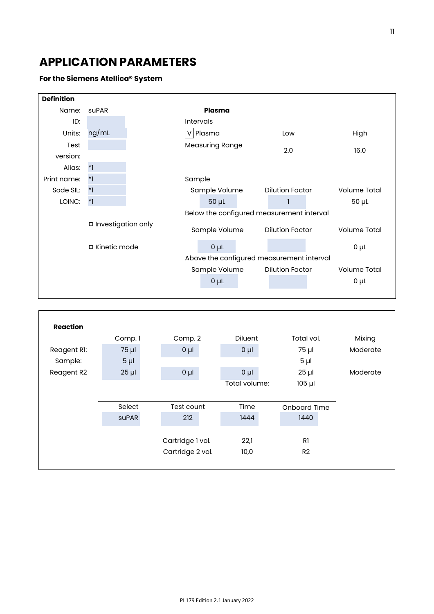# **APPLICATION PARAMETERS**

## **For the Siemens Atellica® System**

| <b>Definition</b> |                                        |  |                                           |                  |  |                        |  |                     |  |
|-------------------|----------------------------------------|--|-------------------------------------------|------------------|--|------------------------|--|---------------------|--|
| Name:             | suPAR                                  |  | <b>Plasma</b>                             |                  |  |                        |  |                     |  |
| ID:               |                                        |  |                                           | <b>Intervals</b> |  |                        |  |                     |  |
| Units:            | ng/mL                                  |  | V                                         | Plasma           |  | Low                    |  | High                |  |
| Test              |                                        |  | <b>Measuring Range</b>                    |                  |  | 2.0                    |  |                     |  |
| version:          |                                        |  |                                           |                  |  |                        |  | 16.0                |  |
| Alias:            | $*1$                                   |  |                                           |                  |  |                        |  |                     |  |
| Print name:       | $*1$                                   |  | Sample                                    |                  |  |                        |  |                     |  |
| Sode SIL:         | $*1$                                   |  | Sample Volume                             |                  |  | <b>Dilution Factor</b> |  | <b>Volume Total</b> |  |
| LOINC:            | $*$ ]                                  |  |                                           | $50 \mu L$       |  | 1                      |  | $50 \mu L$          |  |
|                   |                                        |  | Below the configured measurement interval |                  |  |                        |  |                     |  |
|                   | □ Investigation only<br>□ Kinetic mode |  | Sample Volume                             |                  |  | <b>Dilution Factor</b> |  | Volume Total        |  |
|                   |                                        |  |                                           | $0\mu$           |  |                        |  | $0\mu$ L            |  |
|                   |                                        |  | Above the configured measurement interval |                  |  |                        |  |                     |  |
|                   |                                        |  | Sample Volume                             |                  |  | <b>Dilution Factor</b> |  | <b>Volume Total</b> |  |
|                   |                                        |  |                                           | $0\mu$           |  |                        |  | $0\mu$ L            |  |
|                   |                                        |  |                                           |                  |  |                        |  |                     |  |